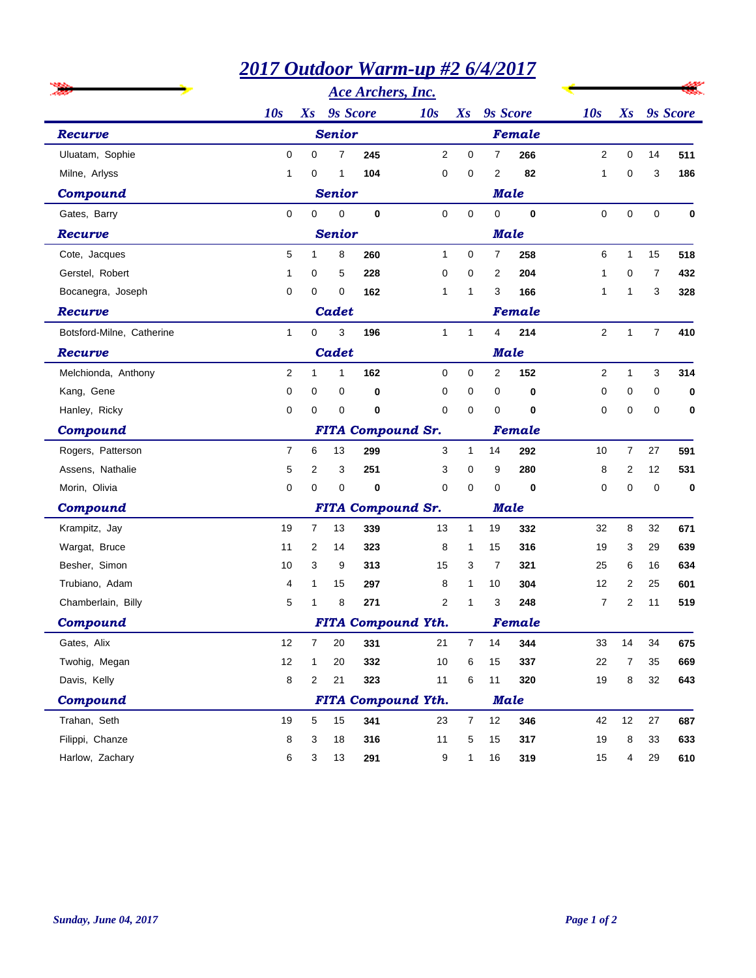|                           | 2017 Outdoor Warm-up #2 6/4/2017 |                          |                |                 |                           |                |                 |             |                |                |             |                 |  |
|---------------------------|----------------------------------|--------------------------|----------------|-----------------|---------------------------|----------------|-----------------|-------------|----------------|----------------|-------------|-----------------|--|
|                           |                                  | <b>Ace Archers, Inc.</b> |                |                 |                           |                |                 |             |                |                |             |                 |  |
|                           | 10s                              | $X_{S}$                  |                | <b>9s</b> Score | 10s                       | $X_{S}$        | <b>9s</b> Score |             | 10s            | $X_{S}$        |             | <b>9s</b> Score |  |
| Recurve                   |                                  |                          | <b>Senior</b>  |                 |                           |                |                 | Female      |                |                |             |                 |  |
| Uluatam, Sophie           | 0                                | 0                        | $\overline{7}$ | 245             | $\overline{2}$            | 0              | 7               | 266         | $\overline{2}$ | 0              | 14          | 511             |  |
| Milne, Arlyss             | 1                                | 0                        | 1              | 104             | 0                         | 0              | 2               | 82          | 1              | 0              | 3           | 186             |  |
| Compound                  | <b>Senior</b>                    |                          |                |                 |                           |                |                 | <b>Male</b> |                |                |             |                 |  |
| Gates, Barry              | 0                                | 0                        | $\mathbf{0}$   | 0               | $\mathbf 0$               | 0              | 0               | $\mathbf 0$ | 0              | 0              | $\mathbf 0$ | 0               |  |
| Recurve                   |                                  | <b>Senior</b>            |                |                 |                           |                |                 | <b>Male</b> |                |                |             |                 |  |
| Cote, Jacques             | 5                                | $\mathbf{1}$             | 8              | 260             | $\mathbf{1}$              | 0              | $\overline{7}$  | 258         | 6              | $\mathbf{1}$   | 15          | 518             |  |
| Gerstel, Robert           | 1                                | 0                        | 5              | 228             | 0                         | 0              | 2               | 204         | 1              | 0              | 7           | 432             |  |
| Bocanegra, Joseph         | 0                                | 0                        | 0              | 162             | 1                         | 1              | 3               | 166         | 1              | 1              | 3           | 328             |  |
| <b>Recurve</b>            |                                  |                          | Female         |                 |                           |                |                 |             |                |                |             |                 |  |
| Botsford-Milne, Catherine | 1                                | 0                        | 3              | 196             | 1                         | $\mathbf{1}$   | 4               | 214         | $\overline{2}$ | $\mathbf{1}$   | 7           | 410             |  |
| Recurve                   |                                  | Cadet                    |                |                 |                           | <b>Male</b>    |                 |             |                |                |             |                 |  |
| Melchionda, Anthony       | $\overline{2}$                   | $\mathbf{1}$             | $\mathbf{1}$   | 162             | $\mathbf 0$               | 0              | $\overline{2}$  | 152         | $\overline{2}$ | $\mathbf{1}$   | 3           | 314             |  |
| Kang, Gene                | 0                                | 0                        | 0              | 0               | 0                         | 0              | 0               | 0           | 0              | 0              | 0           | 0               |  |
| Hanley, Ricky             | 0                                | $\mathbf 0$              | 0              | 0               | $\Omega$                  | 0              | 0               | 0           | 0              | 0              | 0           | 0               |  |
| Compound                  | <b>FITA Compound Sr.</b>         |                          |                |                 |                           |                |                 | Female      |                |                |             |                 |  |
| Rogers, Patterson         | 7                                | 6                        | 13             | 299             | 3                         | $\mathbf{1}$   | 14              | 292         | 10             | $\overline{7}$ | 27          | 591             |  |
| Assens, Nathalie          | 5                                | 2                        | 3              | 251             | 3                         | 0              | 9               | 280         | 8              | 2              | 12          | 531             |  |
| Morin, Olivia             | 0                                | 0                        | 0              | 0               | $\mathbf 0$               | 0              | 0               | 0           | 0              | 0              | 0           | 0               |  |
| Compound                  |                                  | <b>FITA Compound Sr.</b> | <b>Male</b>    |                 |                           |                |                 |             |                |                |             |                 |  |
| Krampitz, Jay             | 19                               | $\overline{7}$           | 13             | 339             | 13                        | $\mathbf{1}$   | 19              | 332         | 32             | 8              | 32          | 671             |  |
| Wargat, Bruce             | 11                               | 2                        | 14             | 323             | 8                         | 1              | 15              | 316         | 19             | 3              | 29          | 639             |  |
| Besher, Simon             | 10                               | 3                        | 9              | 313             | 15                        | 3              | 7               | 321         | 25             | 6              | 16          | 634             |  |
| Trubiano, Adam            | 4                                | 1                        | 15             | 297             | 8                         | 1              | 10              | 304         | 12             | 2              | 25          | 601             |  |
| Chamberlain, Billy        | 5                                | 1                        | 8              | 271             | 2                         | 1              | 3               | 248         | 7              | 2              | 11          | 519             |  |
| <b>Compound</b>           | <b>FITA Compound Yth.</b>        |                          |                |                 | Female                    |                |                 |             |                |                |             |                 |  |
| Gates, Alix               | 12 <sup>°</sup>                  | $\overline{7}$           | 20             | 331             | 21                        | 7              | 14              | 344         | 33             | 14             | 34          | 675             |  |
| Twohig, Megan             | 12 <sup>°</sup>                  | $\mathbf{1}$             | 20             | 332             | 10                        | 6              | 15              | 337         | 22             | 7              | 35          | 669             |  |
| Davis, Kelly              | 8                                | $\overline{c}$           | 21             | 323             | 11                        | 6              | 11              | 320         | 19             | 8              | 32          | 643             |  |
| Compound                  |                                  |                          |                |                 | <b>FITA Compound Yth.</b> |                |                 | <b>Male</b> |                |                |             |                 |  |
| Trahan, Seth              | 19                               | $\sqrt{5}$               | 15             | 341             | 23                        | $\overline{7}$ | 12              | 346         | 42             | $12\,$         | 27          | 687             |  |
| Filippi, Chanze           | 8                                | 3                        | 18             | 316             | 11                        | 5              | 15              | 317         | 19             | 8              | 33          | 633             |  |
| Harlow, Zachary           | 6                                | 3                        | 13             | 291             | $\boldsymbol{9}$          | $\mathbf{1}$   | 16              | 319         | 15             | 4              | 29          | 610             |  |